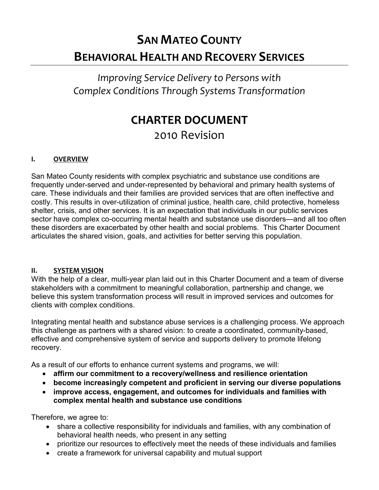# **SAN MATEO COUNTY BEHAVIORAL HEALTH AND RECOVERY SERVICES**

# *Improving Service Delivery to Persons with Complex Conditions Through Systems Transformation*

# **CHARTER DOCUMENT**  2010 Revision

## **I. OVERVIEW**

San Mateo County residents with complex psychiatric and substance use conditions are frequently under-served and under-represented by behavioral and primary health systems of care. These individuals and their families are provided services that are often ineffective and costly. This results in over-utilization of criminal justice, health care, child protective, homeless shelter, crisis, and other services. It is an expectation that individuals in our public services sector have complex co-occurring mental health and substance use disorders—and all too often these disorders are exacerbated by other health and social problems. This Charter Document articulates the shared vision, goals, and activities for better serving this population.

#### **II. SYSTEM VISION**

With the help of a clear, multi-year plan laid out in this Charter Document and a team of diverse stakeholders with a commitment to meaningful collaboration, partnership and change, we believe this system transformation process will result in improved services and outcomes for clients with complex conditions.

Integrating mental health and substance abuse services is a challenging process. We approach this challenge as partners with a shared vision: to create a coordinated, community-based, effective and comprehensive system of service and supports delivery to promote lifelong recovery.

As a result of our efforts to enhance current systems and programs, we will:

- **affirm our commitment to a recovery/wellness and resilience orientation**
- **become increasingly competent and proficient in serving our diverse populations**
- **improve access, engagement, and outcomes for individuals and families with complex mental health and substance use conditions**

Therefore, we agree to:

- share a collective responsibility for individuals and families, with any combination of behavioral health needs, who present in any setting
- prioritize our resources to effectively meet the needs of these individuals and families
- create a framework for universal capability and mutual support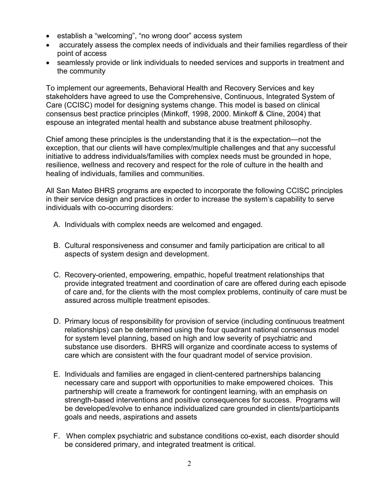- establish a "welcoming", "no wrong door" access system
- accurately assess the complex needs of individuals and their families regardless of their point of access
- seamlessly provide or link individuals to needed services and supports in treatment and the community

To implement our agreements, Behavioral Health and Recovery Services and key stakeholders have agreed to use the Comprehensive, Continuous, Integrated System of Care (CCISC) model for designing systems change. This model is based on clinical consensus best practice principles (Minkoff, 1998, 2000. Minkoff & Cline, 2004) that espouse an integrated mental health and substance abuse treatment philosophy.

Chief among these principles is the understanding that it is the expectation—not the exception, that our clients will have complex/multiple challenges and that any successful initiative to address individuals/families with complex needs must be grounded in hope, resilience, wellness and recovery and respect for the role of culture in the health and healing of individuals, families and communities.

All San Mateo BHRS programs are expected to incorporate the following CCISC principles in their service design and practices in order to increase the system's capability to serve individuals with co-occurring disorders:

- A. Individuals with complex needs are welcomed and engaged.
- B. Cultural responsiveness and consumer and family participation are critical to all aspects of system design and development.
- C. Recovery-oriented, empowering, empathic, hopeful treatment relationships that provide integrated treatment and coordination of care are offered during each episode of care and, for the clients with the most complex problems, continuity of care must be assured across multiple treatment episodes.
- D. Primary locus of responsibility for provision of service (including continuous treatment relationships) can be determined using the four quadrant national consensus model for system level planning, based on high and low severity of psychiatric and substance use disorders. BHRS will organize and coordinate access to systems of care which are consistent with the four quadrant model of service provision.
- E. Individuals and families are engaged in client-centered partnerships balancing necessary care and support with opportunities to make empowered choices. This partnership will create a framework for contingent learning, with an emphasis on strength-based interventions and positive consequences for success. Programs will be developed/evolve to enhance individualized care grounded in clients/participants goals and needs, aspirations and assets
- F. When complex psychiatric and substance conditions co-exist, each disorder should be considered primary, and integrated treatment is critical.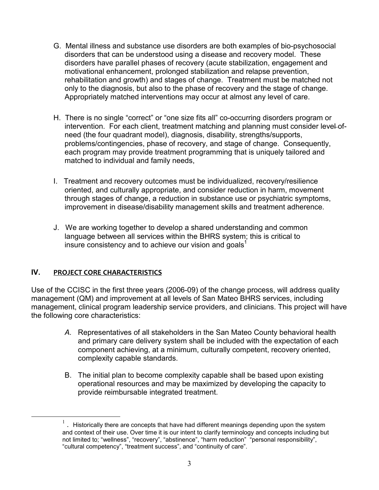- G. Mental illness and substance use disorders are both examples of bio-psychosocial disorders that can be understood using a disease and recovery model. These disorders have parallel phases of recovery (acute stabilization, engagement and motivational enhancement, prolonged stabilization and relapse prevention, rehabilitation and growth) and stages of change. Treatment must be matched not only to the diagnosis, but also to the phase of recovery and the stage of change. Appropriately matched interventions may occur at almost any level of care.
- H. There is no single "correct" or "one size fits all" co-occurring disorders program or intervention. For each client, treatment matching and planning must consider level-ofneed (the four quadrant model), diagnosis, disability, strengths/supports, problems/contingencies, phase of recovery, and stage of change. Consequently, each program may provide treatment programming that is uniquely tailored and matched to individual and family needs,
- I. Treatment and recovery outcomes must be individualized, recovery/resilience oriented, and culturally appropriate, and consider reduction in harm, movement through stages of change, a reduction in substance use or psychiatric symptoms, improvement in disease/disability management skills and treatment adherence.
- J. We are working together to develop a shared understanding and common language between all services within the BHRS system; this is critical to insure consistency and to achieve our vision and goals<sup>1</sup>

## **IV. PROJECT CORE CHARACTERISTICS**

l.

Use of the CCISC in the first three years (2006-09) of the change process, will address quality management (QM) and improvement at all levels of San Mateo BHRS services, including management, clinical program leadership service providers, and clinicians. This project will have the following core characteristics:

- *A.* Representatives of all stakeholders in the San Mateo County behavioral health and primary care delivery system shall be included with the expectation of each component achieving, at a minimum, culturally competent, recovery oriented, complexity capable standards.
- B. The initial plan to become complexity capable shall be based upon existing operational resources and may be maximized by developing the capacity to provide reimbursable integrated treatment.

 $1$ . Historically there are concepts that have had different meanings depending upon the system and context of their use. Over time it is our intent to clarify terminology and concepts including but not limited to; "wellness", "recovery", "abstinence", "harm reduction" "personal responsibility", "cultural competency", "treatment success", and "continuity of care".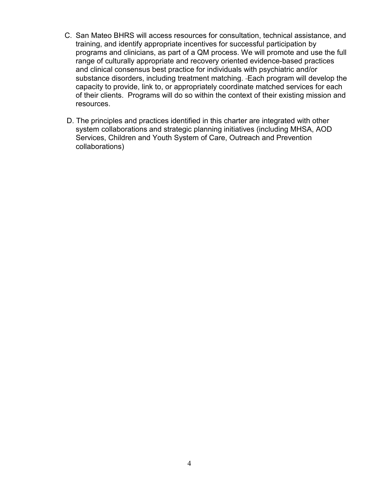- C. San Mateo BHRS will access resources for consultation, technical assistance, and training, and identify appropriate incentives for successful participation by programs and clinicians, as part of a QM process. We will promote and use the full range of culturally appropriate and recovery oriented evidence-based practices and clinical consensus best practice for individuals with psychiatric and/or substance disorders, including treatment matching. Each program will develop the capacity to provide, link to, or appropriately coordinate matched services for each of their clients. Programs will do so within the context of their existing mission and resources.
- D. The principles and practices identified in this charter are integrated with other system collaborations and strategic planning initiatives (including MHSA, AOD Services, Children and Youth System of Care, Outreach and Prevention collaborations)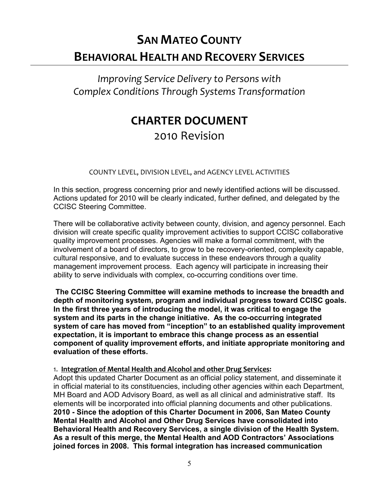# **SAN MATEO COUNTY BEHAVIORAL HEALTH AND RECOVERY SERVICES**

*Improving Service Delivery to Persons with Complex Conditions Through Systems Transformation* 

# **CHARTER DOCUMENT**  2010 Revision

COUNTY LEVEL, DIVISION LEVEL, and AGENCY LEVEL ACTIVITIES

In this section, progress concerning prior and newly identified actions will be discussed. Actions updated for 2010 will be clearly indicated, further defined, and delegated by the CCISC Steering Committee.

There will be collaborative activity between county, division, and agency personnel. Each division will create specific quality improvement activities to support CCISC collaborative quality improvement processes. Agencies will make a formal commitment, with the involvement of a board of directors, to grow to be recovery-oriented, complexity capable, cultural responsive, and to evaluate success in these endeavors through a quality management improvement process. Each agency will participate in increasing their ability to serve individuals with complex, co-occurring conditions over time.

**The CCISC Steering Committee will examine methods to increase the breadth and depth of monitoring system, program and individual progress toward CCISC goals. In the first three years of introducing the model, it was critical to engage the system and its parts in the change initiative. As the co-occurring integrated system of care has moved from "inception" to an established quality improvement expectation, it is important to embrace this change process as an essential component of quality improvement efforts, and initiate appropriate monitoring and evaluation of these efforts.** 

#### 1. **Integration of Mental Health and Alcohol and other Drug Services:**

Adopt this updated Charter Document as an official policy statement, and disseminate it in official material to its constituencies, including other agencies within each Department, MH Board and AOD Advisory Board, as well as all clinical and administrative staff. Its elements will be incorporated into official planning documents and other publications. **2010 - Since the adoption of this Charter Document in 2006, San Mateo County Mental Health and Alcohol and Other Drug Services have consolidated into Behavioral Health and Recovery Services, a single division of the Health System. As a result of this merge, the Mental Health and AOD Contractors' Associations joined forces in 2008. This formal integration has increased communication**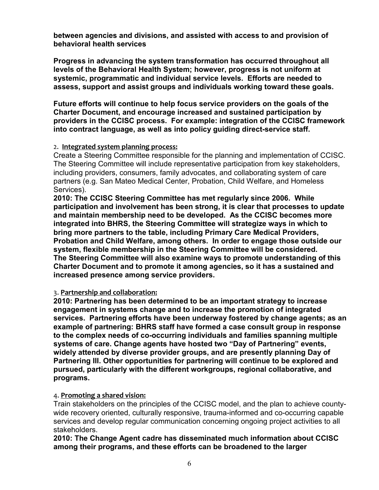**between agencies and divisions, and assisted with access to and provision of behavioral health services** 

**Progress in advancing the system transformation has occurred throughout all levels of the Behavioral Health System; however, progress is not uniform at systemic, programmatic and individual service levels. Efforts are needed to assess, support and assist groups and individuals working toward these goals.** 

**Future efforts will continue to help focus service providers on the goals of the Charter Document, and encourage increased and sustained participation by providers in the CCISC process. For example: integration of the CCISC framework into contract language, as well as into policy guiding direct-service staff.** 

#### 2. **Integrated system planning process:**

Create a Steering Committee responsible for the planning and implementation of CCISC. The Steering Committee will include representative participation from key stakeholders, including providers, consumers, family advocates, and collaborating system of care partners (e.g. San Mateo Medical Center, Probation, Child Welfare, and Homeless Services).

**2010: The CCISC Steering Committee has met regularly since 2006. While participation and involvement has been strong, it is clear that processes to update and maintain membership need to be developed. As the CCISC becomes more integrated into BHRS, the Steering Committee will strategize ways in which to bring more partners to the table, including Primary Care Medical Providers, Probation and Child Welfare, among others. In order to engage those outside our system, flexible membership in the Steering Committee will be considered. The Steering Committee will also examine ways to promote understanding of this Charter Document and to promote it among agencies, so it has a sustained and increased presence among service providers.**

#### 3. **Partnership and collaboration:**

**2010: Partnering has been determined to be an important strategy to increase engagement in systems change and to increase the promotion of integrated services. Partnering efforts have been underway fostered by change agents; as an example of partnering: BHRS staff have formed a case consult group in response to the complex needs of co-occurring individuals and families spanning multiple systems of care. Change agents have hosted two "Day of Partnering" events, widely attended by diverse provider groups, and are presently planning Day of Partnering III. Other opportunities for partnering will continue to be explored and pursued, particularly with the different workgroups, regional collaborative, and programs.** 

#### 4. **Promoting a shared vision:**

Train stakeholders on the principles of the CCISC model, and the plan to achieve countywide recovery oriented, culturally responsive, trauma-informed and co-occurring capable services and develop regular communication concerning ongoing project activities to all stakeholders.

**2010: The Change Agent cadre has disseminated much information about CCISC among their programs, and these efforts can be broadened to the larger**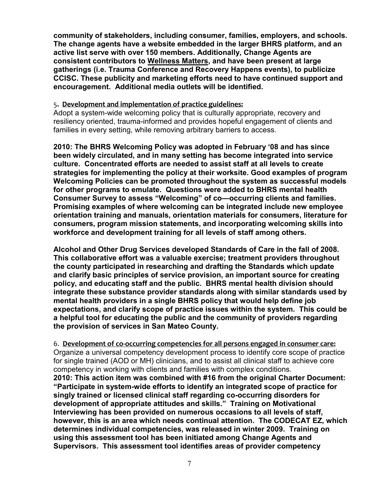**community of stakeholders, including consumer, families, employers, and schools. The change agents have a website embedded in the larger BHRS platform, and an active list serve with over 150 members. Additionally, Change Agents are consistent contributors to Wellness Matters, and have been present at large gatherings (i.e. Trauma Conference and Recovery Happens events), to publicize CCISC. These publicity and marketing efforts need to have continued support and encouragement. Additional media outlets will be identified.** 

#### 5**. Development and implementation of practice guidelines:**

Adopt a system-wide welcoming policy that is culturally appropriate, recovery and resiliency oriented, trauma-informed and provides hopeful engagement of clients and families in every setting, while removing arbitrary barriers to access.

**2010: The BHRS Welcoming Policy was adopted in February '08 and has since been widely circulated, and in many setting has become integrated into service culture. Concentrated efforts are needed to assist staff at all levels to create strategies for implementing the policy at their worksite. Good examples of program Welcoming Policies can be promoted throughout the system as successful models for other programs to emulate. Questions were added to BHRS mental health Consumer Survey to assess "Welcoming" of co—occurring clients and families. Promising examples of where welcoming can be integrated include new employee orientation training and manuals, orientation materials for consumers, literature for consumers, program mission statements, and incorporating welcoming skills into workforce and development training for all levels of staff among others.** 

**Alcohol and Other Drug Services developed Standards of Care in the fall of 2008. This collaborative effort was a valuable exercise; treatment providers throughout the county participated in researching and drafting the Standards which update and clarify basic principles of service provision, an important source for creating policy, and educating staff and the public. BHRS mental health division should integrate these substance provider standards along with similar standards used by mental health providers in a single BHRS policy that would help define job expectations, and clarify scope of practice issues within the system. This could be a helpful tool for educating the public and the community of providers regarding the provision of services in San Mateo County.** 

6. **Development of co-occurring competencies for all persons engaged in consumer care:** Organize a universal competency development process to identify core scope of practice for single trained (AOD or MH) clinicians, and to assist all clinical staff to achieve core competency in working with clients and families with complex conditions. **2010: This action item was combined with #16 from the original Charter Document: "Participate in system-wide efforts to identify an integrated scope of practice for singly trained or licensed clinical staff regarding co-occurring disorders for development of appropriate attitudes and skills." Training on Motivational Interviewing has been provided on numerous occasions to all levels of staff, however, this is an area which needs continual attention. The CODECAT EZ, which determines individual competencies, was released in winter 2009. Training on using this assessment tool has been initiated among Change Agents and Supervisors. This assessment tool identifies areas of provider competency**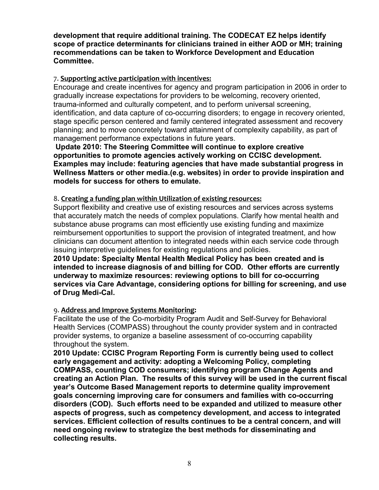**development that require additional training. The CODECAT EZ helps identify scope of practice determinants for clinicians trained in either AOD or MH; training recommendations can be taken to Workforce Development and Education Committee.** 

### 7. **Supporting active participation with incentives:**

Encourage and create incentives for agency and program participation in 2006 in order to gradually increase expectations for providers to be welcoming, recovery oriented, trauma-informed and culturally competent, and to perform universal screening, identification, and data capture of co-occurring disorders; to engage in recovery oriented, stage specific person centered and family centered integrated assessment and recovery planning; and to move concretely toward attainment of complexity capability, as part of management performance expectations in future years.

**Update 2010: The Steering Committee will continue to explore creative opportunities to promote agencies actively working on CCISC development. Examples may include: featuring agencies that have made substantial progress in Wellness Matters or other media.(e.g. websites) in order to provide inspiration and models for success for others to emulate.** 

#### 8. **Creating a funding plan within Utilization of existing resources:**

Support flexibility and creative use of existing resources and services across systems that accurately match the needs of complex populations. Clarify how mental health and substance abuse programs can most efficiently use existing funding and maximize reimbursement opportunities to support the provision of integrated treatment, and how clinicians can document attention to integrated needs within each service code through issuing interpretive guidelines for existing regulations and policies.

**2010 Update: Specialty Mental Health Medical Policy has been created and is intended to increase diagnosis of and billing for COD. Other efforts are currently underway to maximize resources: reviewing options to bill for co-occurring services via Care Advantage, considering options for billing for screening, and use of Drug Medi-Cal.** 

#### 9. **Address and Improve Systems Monitoring:**

Facilitate the use of the Co-morbidity Program Audit and Self-Survey for Behavioral Health Services (COMPASS) throughout the county provider system and in contracted provider systems, to organize a baseline assessment of co-occurring capability throughout the system.

**2010 Update: CCISC Program Reporting Form is currently being used to collect early engagement and activity: adopting a Welcoming Policy, completing COMPASS, counting COD consumers; identifying program Change Agents and creating an Action Plan. The results of this survey will be used in the current fiscal year's Outcome Based Management reports to determine quality improvement goals concerning improving care for consumers and families with co-occurring disorders (COD). Such efforts need to be expanded and utilized to measure other aspects of progress, such as competency development, and access to integrated services. Efficient collection of results continues to be a central concern, and will need ongoing review to strategize the best methods for disseminating and collecting results.**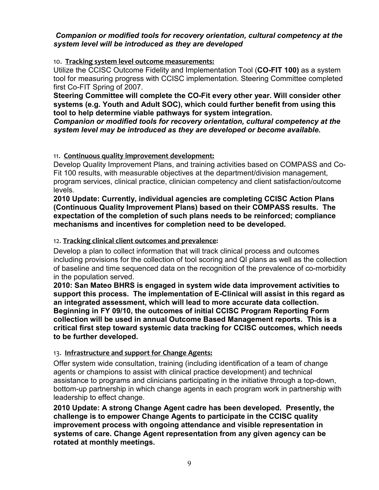#### *Companion or modified tools for recovery orientation, cultural competency at the system level will be introduced as they are developed*

#### 10. **Tracking system level outcome measurements:**

Utilize the CCISC Outcome Fidelity and Implementation Tool (**CO-FIT 100)** as a system tool for measuring progress with CCISC implementation. Steering Committee completed first Co-FIT Spring of 2007.

**Steering Committee will complete the CO-Fit every other year. Will consider other systems (e.g. Youth and Adult SOC), which could further benefit from using this tool to help determine viable pathways for system integration.** 

*Companion or modified tools for recovery orientation, cultural competency at the system level may be introduced as they are developed or become available.*

#### 11. **Continuous quality improvement development:**

Develop Quality Improvement Plans, and training activities based on COMPASS and Co-Fit 100 results, with measurable objectives at the department/division management, program services, clinical practice, clinician competency and client satisfaction/outcome levels.

**2010 Update: Currently, individual agencies are completing CCISC Action Plans (Continuous Quality Improvement Plans) based on their COMPASS results. The expectation of the completion of such plans needs to be reinforced; compliance mechanisms and incentives for completion need to be developed.** 

#### 12. **Tracking clinical client outcomes and prevalence:**

Develop a plan to collect information that will track clinical process and outcomes including provisions for the collection of tool scoring and QI plans as well as the collection of baseline and time sequenced data on the recognition of the prevalence of co-morbidity in the population served.

**2010: San Mateo BHRS is engaged in system wide data improvement activities to support this process***.* **The implementation of E-Clinical will assist in this regard as an integrated assessment, which will lead to more accurate data collection. Beginning in FY 09/10, the outcomes of initial CCISC Program Reporting Form collection will be used in annual Outcome Based Management reports. This is a critical first step toward systemic data tracking for CCISC outcomes, which needs to be further developed.** 

#### 13. **Infrastructure and support for Change Agents:**

Offer system wide consultation, training (including identification of a team of change agents or champions to assist with clinical practice development) and technical assistance to programs and clinicians participating in the initiative through a top-down, bottom-up partnership in which change agents in each program work in partnership with leadership to effect change.

**2010 Update: A strong Change Agent cadre has been developed. Presently, the challenge is to empower Change Agents to participate in the CCISC quality improvement process with ongoing attendance and visible representation in systems of care. Change Agent representation from any given agency can be rotated at monthly meetings.**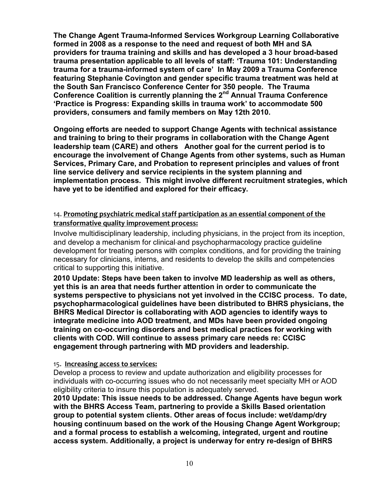**The Change Agent Trauma-Informed Services Workgroup Learning Collaborative formed in 2008 as a response to the need and request of both MH and SA providers for trauma training and skills and has developed a 3 hour broad-based trauma presentation applicable to all levels of staff: 'Trauma 101: Understanding trauma for a trauma-informed system of care' In May 2009 a Trauma Conference featuring Stephanie Covington and gender specific trauma treatment was held at the South San Francisco Conference Center for 350 people. The Trauma Conference Coalition is currently planning the 2nd Annual Trauma Conference 'Practice is Progress: Expanding skills in trauma work' to accommodate 500 providers, consumers and family members on May 12th 2010.** 

**Ongoing efforts are needed to support Change Agents with technical assistance and training to bring to their programs in collaboration with the Change Agent leadership team (CARE) and others Another goal for the current period is to encourage the involvement of Change Agents from other systems, such as Human Services, Primary Care, and Probation to represent principles and values of front line service delivery and service recipients in the system planning and implementation process. This might involve different recruitment strategies, which have yet to be identified and explored for their efficacy.** 

## 14. **Promoting psychiatric medical staff participation as an essential component of the transformative quality improvement process:**

Involve multidisciplinary leadership, including physicians, in the project from its inception, and develop a mechanism for clinical and psychopharmacology practice guideline development for treating persons with complex conditions, and for providing the training necessary for clinicians, interns, and residents to develop the skills and competencies critical to supporting this initiative.

**2010 Update: Steps have been taken to involve MD leadership as well as others, yet this is an area that needs further attention in order to communicate the systems perspective to physicians not yet involved in the CCISC process. To date, psychopharmacological guidelines have been distributed to BHRS physicians, the BHRS Medical Director is collaborating with AOD agencies to identify ways to integrate medicine into AOD treatment, and MDs have been provided ongoing training on co-occurring disorders and best medical practices for working with clients with COD. Will continue to assess primary care needs re: CCISC engagement through partnering with MD providers and leadership.** 

#### 15. **Increasing access to services:**

Develop a process to review and update authorization and eligibility processes for individuals with co-occurring issues who do not necessarily meet specialty MH or AOD eligibility criteria to insure this population is adequately served.

**2010 Update: This issue needs to be addressed. Change Agents have begun work with the BHRS Access Team, partnering to provide a Skills Based orientation group to potential system clients. Other areas of focus include: wet/damp/dry housing continuum based on the work of the Housing Change Agent Workgroup; and a formal process to establish a welcoming, integrated, urgent and routine access system. Additionally, a project is underway for entry re-design of BHRS**